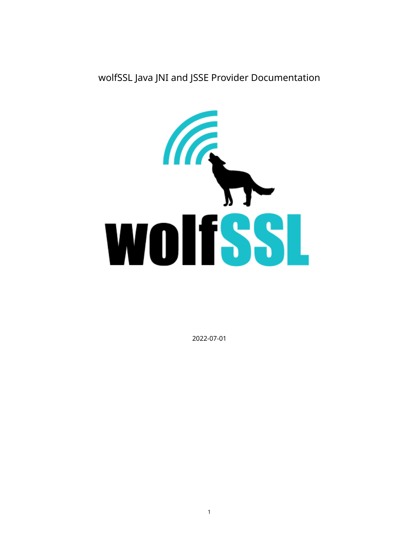wolfSSL Java JNI and JSSE Provider Documentation



2022-07-01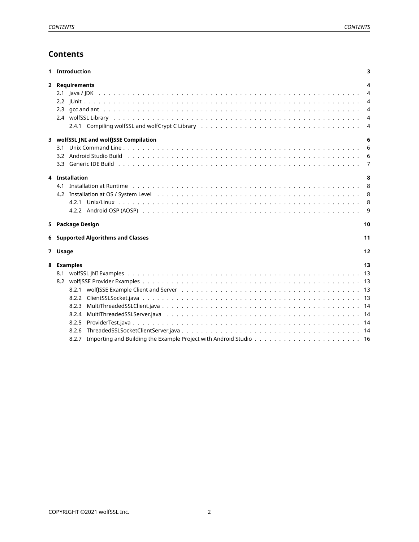# **Contents**

<span id="page-1-0"></span>

| 1 Introduction                         | 3  |
|----------------------------------------|----|
| 2 Requirements                         | 4  |
|                                        | 4  |
|                                        | 4  |
|                                        | 4  |
|                                        | 4  |
|                                        | 4  |
| 3 wolfSSL JNI and wolfJSSE Compilation | 6  |
| 3.1                                    | 6  |
|                                        | 6  |
| 3.3                                    | 7  |
|                                        |    |
| 4 Installation                         | 8  |
| 4.1                                    | 8  |
|                                        | 8  |
|                                        | 8  |
|                                        | 9  |
| 5 Package Design                       | 10 |
| 6 Supported Algorithms and Classes     | 11 |
|                                        |    |
| 7 Usage                                | 12 |
| 8 Examples                             | 13 |
|                                        | 13 |
|                                        |    |
| 8.2.1                                  |    |
| 8.2.2                                  | 13 |
| 8.2.3                                  | 14 |
| 8.2.4                                  | 14 |
| 8.2.5                                  | 14 |
| 8.2.6                                  |    |
| 8.2.7                                  |    |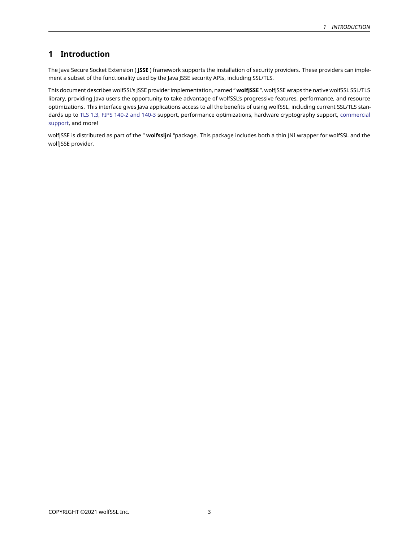# **1 Introduction**

The Java Secure Socket Extension ( **JSSE** ) framework supports the installation of security providers. These providers can implement a subset of the functionality used by the Java JSSE security APIs, including SSL/TLS.

This document describes wolfSSL's JSSE provider implementation, named " **wolfJSSE** ". wolfJSSE wraps the native wolfSSL SSL/TLS library, providing Java users the opportunity to take advantage of wolfSSL's progressive features, performance, and resource optimizations. This interface gives Java applications access to all the benefits of using wolfSSL, including current SSL/TLS standards up to [TLS 1.3,](https://www.wolfssl.com/tls13) [FIPS 140-2 and 140-3](https://www.wolfssl.com/license/fips/) support, performance optimizations, hardware cryptography support, [commercial](https://www.wolfssl.com/products/support-and-maintenance/) [support,](https://www.wolfssl.com/products/support-and-maintenance/) and more!

<span id="page-2-0"></span>wolfJSSE is distributed as part of the " **wolfssljni** "package. This package includes both a thin JNI wrapper for wolfSSL and the wolfJSSE provider.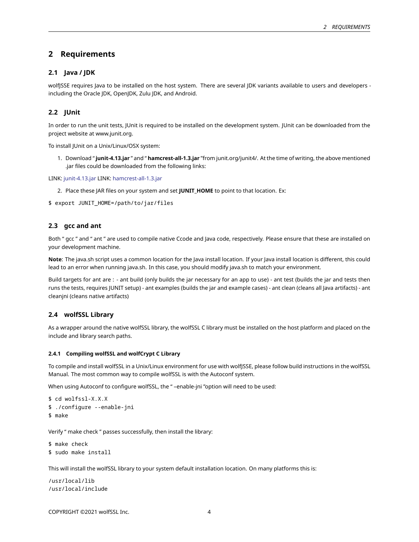## **2 Requirements**

## <span id="page-3-0"></span>**2.1 Java / JDK**

wolfJSSE requires Java to be installed on the host system. There are several JDK variants available to users and developers including the Oracle JDK, OpenJDK, Zulu JDK, and Android.

## <span id="page-3-1"></span>**2.2 JUnit**

In order to run the unit tests, JUnit is required to be installed on the development system. JUnit can be downloaded from the project website at www.junit.org.

To install JUnit on a Unix/Linux/OSX system:

1. Download " **junit-4.13.jar** " and " **hamcrest-all-1.3.jar** "from junit.org/junit4/. At the time of writing, the above mentioned .jar files could be downloaded from the following links:

LINK: [junit-4.13.jar](https://search.maven.org/search?q=g:junit%20AND%20a:junit) LINK: [hamcrest-all-1.3.jar](https://search.maven.org/artifact/org.hamcrest/hamcrest-all/1.3/jar)

2. Place these JAR files on your system and set **JUNIT\_HOME** to point to that location. Ex:

<span id="page-3-2"></span>\$ export JUNIT\_HOME=/path/to/jar/files

## **2.3 gcc and ant**

Both " gcc " and " ant " are used to compile native Ccode and Java code, respectively. Please ensure that these are installed on your development machine.

**Note**: The java.sh script uses a common location for the Java install location. If your Java install location is different, this could lead to an error when running java.sh. In this case, you should modify java.sh to match your environment.

Build targets for ant are : - ant build (only builds the jar necessary for an app to use) - ant test (builds the jar and tests then runs the tests, requires JUNIT setup) - ant examples (builds the jar and example cases) - ant clean (cleans all Java artifacts) - ant cleanjni (cleans native artifacts)

### <span id="page-3-3"></span>**2.4 wolfSSL Library**

As a wrapper around the native wolfSSL library, the wolfSSL C library must be installed on the host platform and placed on the include and library search paths.

#### <span id="page-3-4"></span>**2.4.1 Compiling wolfSSL and wolfCrypt C Library**

To compile and install wolfSSL in a Unix/Linux environment for use with wolfJSSE, please follow build instructions in the wolfSSL Manual. The most common way to compile wolfSSL is with the Autoconf system.

When using Autoconf to configure wolfSSL, the " –enable-jni "option will need to be used:

```
$ cd wolfssl-X.X.X
$ ./configure --enable-jni
$ make
```
Verify " make check " passes successfully, then install the library:

```
$ make check
$ sudo make install
```
This will install the wolfSSL library to your system default installation location. On many platforms this is:

/usr/local/lib /usr/local/include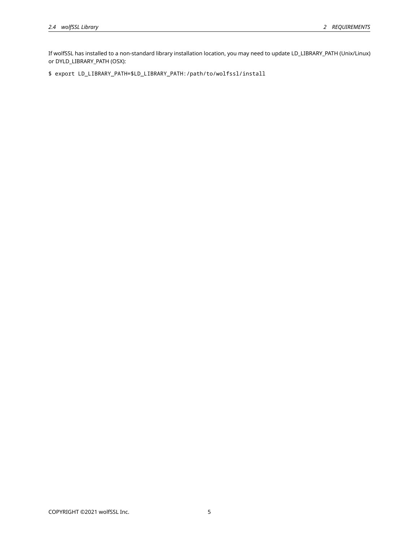If wolfSSL has installed to a non-standard library installation location, you may need to update LD\_LIBRARY\_PATH (Unix/Linux) or DYLD\_LIBRARY\_PATH (OSX):

<span id="page-4-0"></span>\$ export LD\_LIBRARY\_PATH=\$LD\_LIBRARY\_PATH:/path/to/wolfssl/install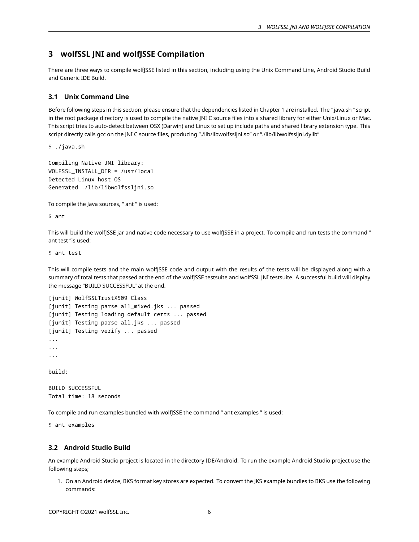## **3 wolfSSL JNI and wolfJSSE Compilation**

<span id="page-5-0"></span>There are three ways to compile wolfJSSE listed in this section, including using the Unix Command Line, Android Studio Build and Generic IDE Build.

## **3.1 Unix Command Line**

Before following steps in this section, please ensure that the dependencies listed in Chapter 1 are installed. The " java.sh " script in the root package directory is used to compile the native JNI C source files into a shared library for either Unix/Linux or Mac. This script tries to auto-detect between OSX (Darwin) and Linux to set up include paths and shared library extension type. This script directly calls gcc on the JNI C source files, producing "./lib/libwolfssljni.so" or "./lib/libwolfssljni.dylib"

\$ ./java.sh

```
Compiling Native JNI library:
WOLFSSL_INSTALL_DIR = /usr/local
Detected Linux host OS
Generated ./lib/libwolfssljni.so
```
To compile the Java sources, " ant " is used:

\$ ant

This will build the wolfJSSE jar and native code necessary to use wolfJSSE in a project. To compile and run tests the command " ant test "is used:

\$ ant test

This will compile tests and the main wolfJSSE code and output with the results of the tests will be displayed along with a summary of total tests that passed at the end of the wolfJSSE testsuite and wolfSSL JNI testsuite. A successful build will display the message "BUILD SUCCESSFUL" at the end.

```
[junit] WolfSSLTrustX509 Class
[junit] Testing parse all_mixed.jks ... passed
[junit] Testing loading default certs ... passed
[junit] Testing parse all.jks ... passed
[junit] Testing verify ... passed
...
...
...
build:
```
BUILD SUCCESSFUL Total time: 18 seconds

To compile and run examples bundled with wolfJSSE the command " ant examples " is used:

<span id="page-5-1"></span>\$ ant examples

### **3.2 Android Studio Build**

An example Android Studio project is located in the directory IDE/Android. To run the example Android Studio project use the following steps;

1. On an Android device, BKS format key stores are expected. To convert the JKS example bundles to BKS use the following commands: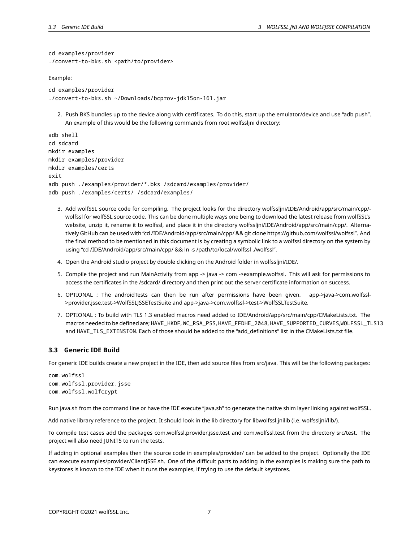cd examples/provider

```
./convert-to-bks.sh <path/to/provider>
```
Example:

```
cd examples/provider
./convert-to-bks.sh ~/Downloads/bcprov-jdk15on-161.jar
```
2. Push BKS bundles up to the device along with certificates. To do this, start up the emulator/device and use "adb push". An example of this would be the following commands from root wolfssljni directory:

```
adb shell
cd sdcard
mkdir examples
mkdir examples/provider
mkdir examples/certs
exit
adb push ./examples/provider/*.bks /sdcard/examples/provider/
adb push ./examples/certs/ /sdcard/examples/
```
- 3. Add wolfSSL source code for compiling. The project looks for the directory wolfssljni/IDE/Android/app/src/main/cpp/ wolfssl for wolfSSL source code. This can be done multiple ways one being to download the latest release from wolfSSL's website, unzip it, rename it to wolfssl, and place it in the directory wolfssljni/IDE/Android/app/src/main/cpp/. Alternatively GitHub can be used with "cd /IDE/Android/app/src/main/cpp/ && git clone https://github.com/wolfssl/wolfssl". And the final method to be mentioned in this document is by creating a symbolic link to a wolfssl directory on the system by using "cd /IDE/Android/app/src/main/cpp/ && ln -s /path/to/local/wolfssl ./wolfssl".
- 4. Open the Android studio project by double clicking on the Android folder in wolfssljni/IDE/.
- 5. Compile the project and run MainActivity from app -> java -> com ->example.wolfssl. This will ask for permissions to access the certificates in the /sdcard/ directory and then print out the server certificate information on success.
- 6. OPTIONAL : The androidTests can then be run after permissions have been given. app->java->com.wolfssl- >provider.jsse.test->WolfSSLJSSETestSuite and app->java->com.wolfssl->test->WolfSSLTestSuite.
- 7. OPTIONAL : To build with TLS 1.3 enabled macros need added to IDE/Android/app/src/main/cpp/CMakeLists.txt. The macros needed to be defined are; HAVE\_HKDF, WC\_RSA\_PSS, HAVE\_FFDHE\_2048, HAVE\_SUPPORTED\_CURVES,WOLFSSL\_TLS13 and HAVE\_TLS\_EXTENSION. Each of those should be added to the "add\_definitions" list in the CMakeLists.txt file.

## <span id="page-6-0"></span>**3.3 Generic IDE Build**

For generic IDE builds create a new project in the IDE, then add source files from src/java. This will be the following packages:

com.wolfssl com.wolfssl.provider.jsse com.wolfssl.wolfcrypt

Run java.sh from the command line or have the IDE execute "java.sh" to generate the native shim layer linking against wolfSSL.

Add native library reference to the project. It should look in the lib directory for libwolfssl.jnilib (i.e. wolfssljni/lib/).

To compile test cases add the packages com.wolfssl.provider.jsse.test and com.wolfssl.test from the directory src/test. The project will also need JUNIT5 to run the tests.

<span id="page-6-1"></span>If adding in optional examples then the source code in examples/provider/ can be added to the project. Optionally the IDE can execute examples/provider/ClientJSSE.sh. One of the difficult parts to adding in the examples is making sure the path to keystores is known to the IDE when it runs the examples, if trying to use the default keystores.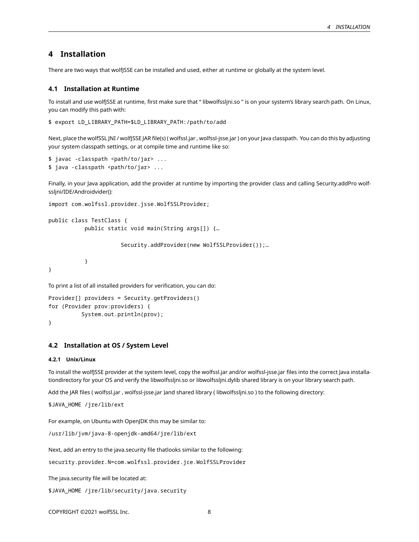# **4 Installation**

<span id="page-7-0"></span>There are two ways that wolfJSSE can be installed and used, either at runtime or globally at the system level.

#### **4.1 Installation at Runtime**

To install and use wolfJSSE at runtime, first make sure that " libwolfssljni.so " is on your system's library search path. On Linux, you can modify this path with:

```
$ export LD_LIBRARY_PATH=$LD_LIBRARY_PATH:/path/to/add
```
Next, place the wolfSSL JNI / wolfJSSE JAR file(s) ( wolfssl.jar , wolfssl-jsse.jar ) on your Java classpath. You can do this by adjusting your system classpath settings, or at compile time and runtime like so:

```
$ javac -classpath <path/to/jar> ...
$ java -classpath <path/to/jar> ...
```
Finally, in your Java application, add the provider at runtime by importing the provider class and calling Security.addPro wolfssljni/IDE/Androidvider():

```
import com.wolfssl.provider.jsse.WolfSSLProvider;
```

```
public class TestClass {
          public static void main(String args[]) {…
```
Security.addProvider(new WolfSSLProvider());…

}

To print a list of all installed providers for verification, you can do:

```
Provider[] providers = Security.getProviders()
for (Provider prov:providers) {
          System.out.println(prov);
}
```
<span id="page-7-1"></span>

### **4.2 Installation at OS / System Level**

#### <span id="page-7-2"></span>**4.2.1 Unix/Linux**

To install the wolfJSSE provider at the system level, copy the wolfssl.jar and/or wolfssl-jsse.jar files into the correct Java installationdirectory for your OS and verify the libwolfssljni.so or libwolfssljni.dylib shared library is on your library search path.

Add the JAR files ( wolfssl.jar , wolfssl-jsse.jar )and shared library ( libwolfssljni.so ) to the following directory:

```
$JAVA_HOME /jre/lib/ext
```
}

For example, on Ubuntu with OpenJDK this may be similar to:

```
/usr/lib/jvm/java-8-openjdk-amd64/jre/lib/ext
```
Next, add an entry to the java.security file thatlooks similar to the following:

security.provider.N=com.wolfssl.provider.jce.WolfSSLProvider

The java.security file will be located at:

```
$JAVA_HOME /jre/lib/security/java.security
```
COPYRIGHT ©2021 wolfSSL Inc. 8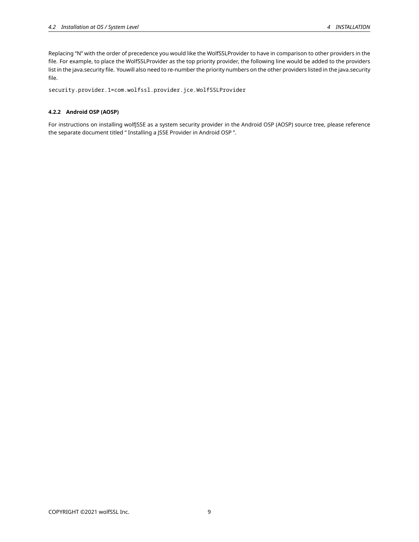Replacing "N" with the order of precedence you would like the WolfSSLProvider to have in comparison to other providers in the file. For example, to place the WolfSSLProvider as the top priority provider, the following line would be added to the providers list in the java.security file. Youwill also need to re-number the priority numbers on the other providers listed in the java.security file.

security.provider.1=com.wolfssl.provider.jce.WolfSSLProvider

## <span id="page-8-0"></span>**4.2.2 Android OSP (AOSP)**

<span id="page-8-1"></span>For instructions on installing wolfJSSE as a system security provider in the Android OSP (AOSP) source tree, please reference the separate document titled " Installing a JSSE Provider in Android OSP ".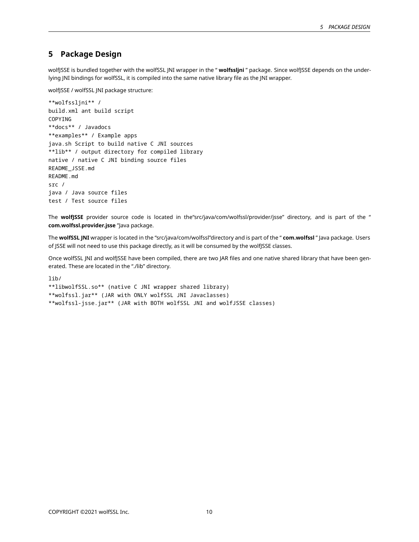## **5 Package Design**

wolfJSSE is bundled together with the wolfSSL JNI wrapper in the " **wolfssljni** " package. Since wolfJSSE depends on the underlying JNI bindings for wolfSSL, it is compiled into the same native library file as the JNI wrapper.

wolfJSSE / wolfSSL JNI package structure:

```
**wolfssljni** /
build.xml ant build script
COPYING
**docs** / Javadocs
**examples** / Example apps
java.sh Script to build native C JNI sources
**lib** / output directory for compiled library
native / native C JNI binding source files
README_JSSE.md
README.md
src /
java / Java source files
test / Test source files
```
The wolfjSSE provider source code is located in the"src/java/com/wolfssl/provider/jsse" directory, and is part of the " **com.wolfssl.provider.jsse** "Java package.

The **wolfSSL JNI** wrapper is located in the "src/java/com/wolfssl"directory and is part of the " **com.wolfssl** " Java package. Users of JSSE will not need to use this package directly, as it will be consumed by the wolfJSSE classes.

Once wolfSSL JNI and wolfJSSE have been compiled, there are two JAR files and one native shared library that have been generated. These are located in the "./lib" directory.

lib/

\*\*libwolfSSL.so\*\* (native C JNI wrapper shared library)

\*\*wolfssl.jar\*\* (JAR with ONLY wolfSSL JNI Javaclasses)

<span id="page-9-0"></span>\*\*wolfssl-jsse.jar\*\* (JAR with BOTH wolfSSL JNI and wolfJSSE classes)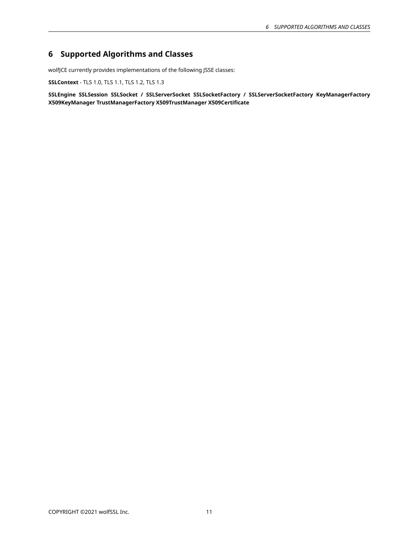# **6 Supported Algorithms and Classes**

wolfJCE currently provides implementations of the following JSSE classes:

**SSLContext** - TLS 1.0, TLS 1.1, TLS 1.2, TLS 1.3

<span id="page-10-0"></span>**SSLEngine SSLSession SSLSocket / SSLServerSocket SSLSocketFactory / SSLServerSocketFactory KeyManagerFactory X509KeyManager TrustManagerFactory X509TrustManager X509Certificate**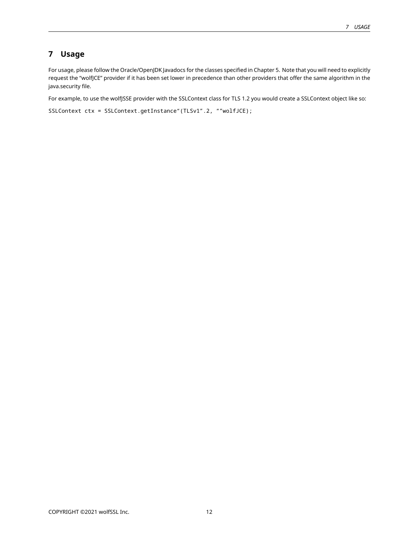# **7 Usage**

For usage, please follow the Oracle/OpenJDK Javadocs for the classes specified in Chapter 5. Note that you will need to explicitly request the "wolfJCE" provider if it has been set lower in precedence than other providers that offer the same algorithm in the java.security file.

For example, to use the wolfJSSE provider with the SSLContext class for TLS 1.2 you would create a SSLContext object like so:

<span id="page-11-0"></span>SSLContext ctx = SSLContext.getInstance"(TLSv1".2, ""wolfJCE);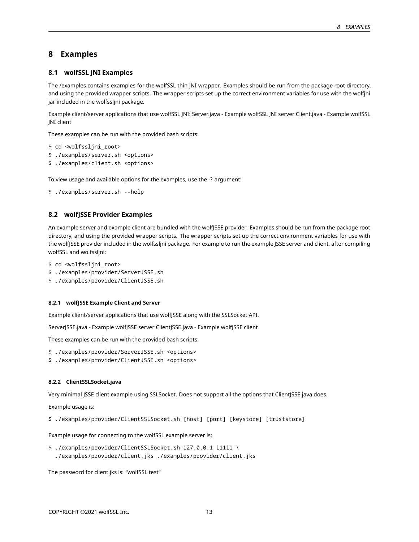## **8 Examples**

### <span id="page-12-0"></span>**8.1 wolfSSL JNI Examples**

The /examples contains examples for the wolfSSL thin JNI wrapper. Examples should be run from the package root directory, and using the provided wrapper scripts. The wrapper scripts set up the correct environment variables for use with the wolfjni jar included in the wolfssljni package.

Example client/server applications that use wolfSSL JNI: Server.java - Example wolfSSL JNI server Client.java - Example wolfSSL JNI client

These examples can be run with the provided bash scripts:

```
$ cd <wolfssljni_root>
```
- \$ ./examples/server.sh <options>
- \$ ./examples/client.sh <options>

To view usage and available options for the examples, use the -? argument:

```
$ ./examples/server.sh --help
```
## <span id="page-12-1"></span>**8.2 wolfJSSE Provider Examples**

An example server and example client are bundled with the wolfJSSE provider. Examples should be run from the package root directory, and using the provided wrapper scripts. The wrapper scripts set up the correct environment variables for use with the wolfJSSE provider included in the wolfssljni package. For example to run the example JSSE server and client, after compiling wolfSSL and wolfssljni:

```
$ cd <wolfssljni_root>
```
- \$ ./examples/provider/ServerJSSE.sh
- \$ ./examples/provider/ClientJSSE.sh

#### <span id="page-12-2"></span>**8.2.1 wolfJSSE Example Client and Server**

Example client/server applications that use wolfJSSE along with the SSLSocket API.

ServerJSSE.java - Example wolfJSSE server ClientJSSE.java - Example wolfJSSE client

These examples can be run with the provided bash scripts:

- \$ ./examples/provider/ServerJSSE.sh <options>
- \$ ./examples/provider/ClientJSSE.sh <options>

#### <span id="page-12-3"></span>**8.2.2 ClientSSLSocket.java**

Very minimal JSSE client example using SSLSocket. Does not support all the options that ClientJSSE.java does.

Example usage is:

\$ ./examples/provider/ClientSSLSocket.sh [host] [port] [keystore] [truststore]

Example usage for connecting to the wolfSSL example server is:

\$ ./examples/provider/ClientSSLSocket.sh 127.0.0.1 11111 \ ./examples/provider/client.jks ./examples/provider/client.jks

<span id="page-12-4"></span>The password for client.jks is: "wolfSSL test"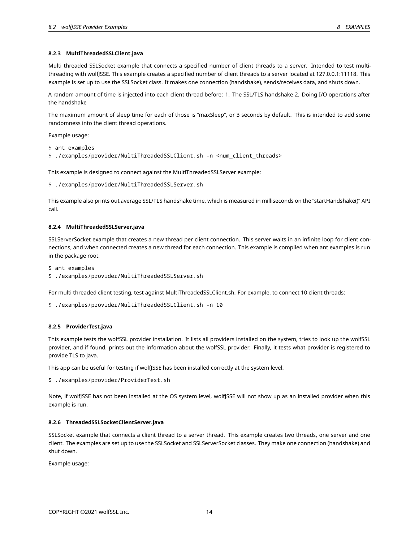#### **8.2.3 MultiThreadedSSLClient.java**

Multi threaded SSLSocket example that connects a specified number of client threads to a server. Intended to test multithreading with wolfJSSE. This example creates a specified number of client threads to a server located at 127.0.0.1:11118. This example is set up to use the SSLSocket class. It makes one connection (handshake), sends/receives data, and shuts down.

A random amount of time is injected into each client thread before: 1. The SSL/TLS handshake 2. Doing I/O operations after the handshake

The maximum amount of sleep time for each of those is "maxSleep", or 3 seconds by default. This is intended to add some randomness into the client thread operations.

Example usage:

\$ ant examples

\$ ./examples/provider/MultiThreadedSSLClient.sh -n <num\_client\_threads>

This example is designed to connect against the MultiThreadedSSLServer example:

\$ ./examples/provider/MultiThreadedSSLServer.sh

This example also prints out average SSL/TLS handshake time, which is measured in milliseconds on the "startHandshake()" API call.

#### <span id="page-13-0"></span>**8.2.4 MultiThreadedSSLServer.java**

SSLServerSocket example that creates a new thread per client connection. This server waits in an infinite loop for client connections, and when connected creates a new thread for each connection. This example is compiled when ant examples is run in the package root.

\$ ant examples

\$ ./examples/provider/MultiThreadedSSLServer.sh

For multi threaded client testing, test against MultiThreadedSSLClient.sh. For example, to connect 10 client threads:

\$ ./examples/provider/MultiThreadedSSLClient.sh -n 10

#### <span id="page-13-1"></span>**8.2.5 ProviderTest.java**

This example tests the wolfSSL provider installation. It lists all providers installed on the system, tries to look up the wolfSSL provider, and if found, prints out the information about the wolfSSL provider. Finally, it tests what provider is registered to provide TLS to Java.

This app can be useful for testing if wolfJSSE has been installed correctly at the system level.

\$ ./examples/provider/ProviderTest.sh

Note, if wolfJSSE has not been installed at the OS system level, wolfJSSE will not show up as an installed provider when this example is run.

#### <span id="page-13-2"></span>**8.2.6 ThreadedSSLSocketClientServer.java**

SSLSocket example that connects a client thread to a server thread. This example creates two threads, one server and one client. The examples are set up to use the SSLSocket and SSLServerSocket classes. They make one connection (handshake) and shut down.

Example usage: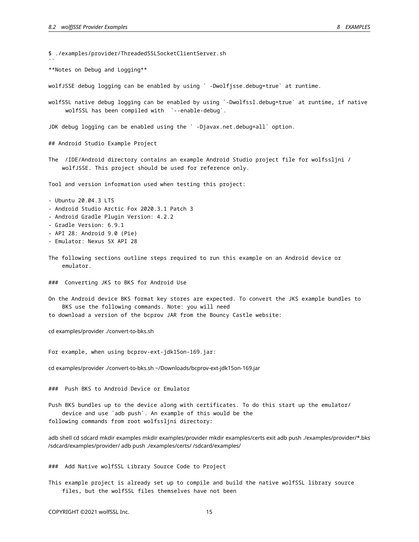$\ddot{\phantom{0}}$ 

\$ ./examples/provider/ThreadedSSLSocketClientServer.sh

\*\*Notes on Debug and Logging\*\*

wolfJSSE debug logging can be enabled by using ` -Dwolfjsse.debug=true` at runtime.

wolfSSL native debug logging can be enabled by using `-Dwolfssl.debug=true` at runtime, if native wolfSSL has been compiled with `--enable-debug`.

JDK debug logging can be enabled using the ` -Djavax.net.debug=all` option.

## Android Studio Example Project

The /IDE/Android directory contains an example Android Studio project file for wolfssljni / wolfJSSE. This project should be used for reference only.

Tool and version information used when testing this project:

- Ubuntu 20.04.3 LTS
- Android Studio Arctic Fox 2020.3.1 Patch 3
- Android Gradle Plugin Version: 4.2.2
- Gradle Version: 6.9.1
- API 28: Android 9.0 (Pie)
- Emulator: Nexus 5X API 28
- The following sections outline steps required to run this example on an Android device or emulator.
- ### Converting JKS to BKS for Android Use
- On the Android device BKS format key stores are expected. To convert the JKS example bundles to BKS use the following commands. Note: you will need
- to download a version of the bcprov JAR from the Bouncy Castle website:

cd examples/provider ./convert-to-bks.sh

For example, when using bcprov-ext-jdk15on-169.jar:

cd examples/provider ./convert-to-bks.sh ~/Downloads/bcprov-ext-jdk15on-169.jar

### Push BKS to Android Device or Emulator

Push BKS bundles up to the device along with certificates. To do this start up the emulator/ device and use `adb push`. An example of this would be the following commands from root wolfssljni directory:

adb shell cd sdcard mkdir examples mkdir examples/provider mkdir examples/certs exit adb push ./examples/provider/\*.bks /sdcard/examples/provider/ adb push ./examples/certs/ /sdcard/examples/

### Add Native wolfSSL Library Source Code to Project

This example project is already set up to compile and build the native wolfSSL library source files, but the wolfSSL files themselves have not been